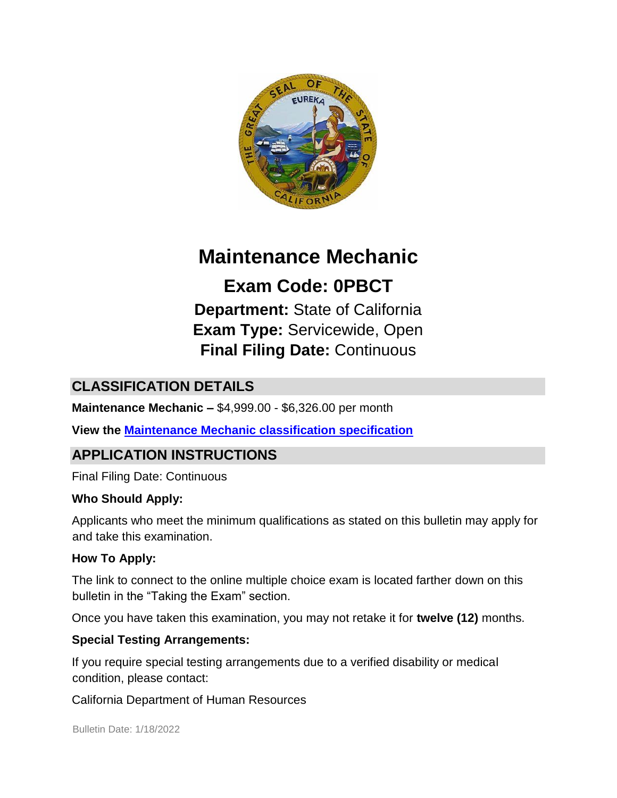

# **Maintenance Mechanic**

**Exam Code: 0PBCT Department:** State of California **Exam Type:** Servicewide, Open **Final Filing Date:** Continuous

# **CLASSIFICATION DETAILS**

**Maintenance Mechanic –** \$4,999.00 - \$6,326.00 per month

### **View the [Maintenance Mechanic classification specification](https://www.calhr.ca.gov/state-hr-professionals/pages/6940.aspx)**

### **APPLICATION INSTRUCTIONS**

Final Filing Date: Continuous

#### **Who Should Apply:**

Applicants who meet the minimum qualifications as stated on this bulletin may apply for and take this examination.

#### **How To Apply:**

The link to connect to the online multiple choice exam is located farther down on this bulletin in the "Taking the Exam" section.

Once you have taken this examination, you may not retake it for **twelve (12)** months.

#### **Special Testing Arrangements:**

If you require special testing arrangements due to a verified disability or medical condition, please contact:

California Department of Human Resources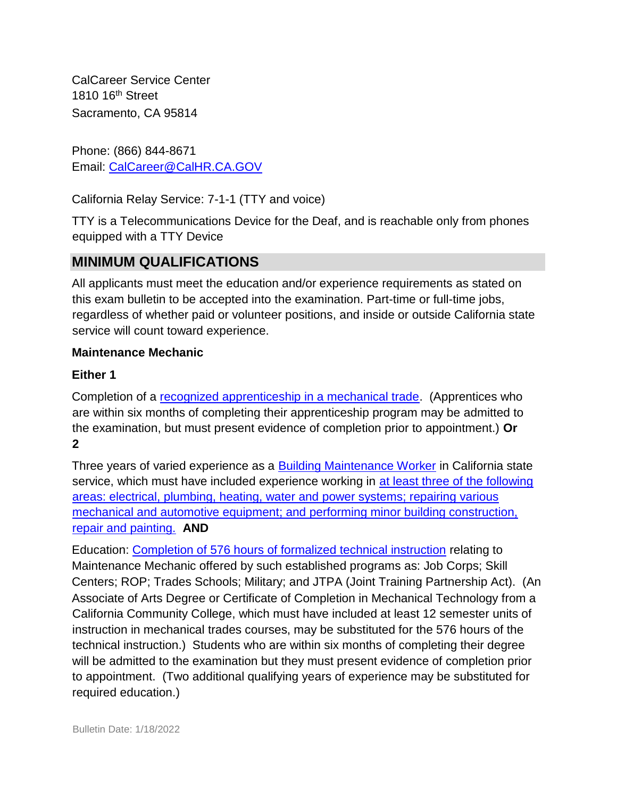CalCareer Service Center 1810 16<sup>th</sup> Street Sacramento, CA 95814

Phone: (866) 844-8671 Email: CalCareer@CalHR.CA.GOV

California Relay Service: 7-1-1 (TTY and voice)

TTY is a Telecommunications Device for the Deaf, and is reachable only from phones equipped with a TTY Device

# **MINIMUM QUALIFICATIONS**

All applicants must meet the education and/or experience requirements as stated on this exam bulletin to be accepted into the examination. Part-time or full-time jobs, regardless of whether paid or volunteer positions, and inside or outside California state service will count toward experience.

#### **Maintenance Mechanic**

#### **Either 1**

Completion of a [recognized apprenticeship in a mechanical trade.](https://www.jobs.ca.gov/jobsgen/4PB15A.pdf) (Apprentices who are within six months of completing their apprenticeship program may be admitted to the examination, but must present evidence of completion prior to appointment.) **Or 2** 

Three years of varied experience as a [Building Maintenance Worker](https://www.jobs.ca.gov/jobsgen/4PB15D.pdf) in California state service, which must have included experience working in [at least three of the following](https://www.jobs.ca.gov/jobsgen/4PB15B.pdf) [areas: electrical, plumbing, heating, water and power systems; repairing various](https://www.jobs.ca.gov/jobsgen/4PB15B.pdf) [mechanical and automotive equipment; and performing minor building construction,](https://www.jobs.ca.gov/jobsgen/4PB15B.pdf) [repair and painting.](https://www.jobs.ca.gov/jobsgen/4PB15B.pdf) **AND**

Education: [Completion of 576 hours of formalized technical instruction](https://www.jobs.ca.gov/jobsgen/4PB15C.pdf) relating to Maintenance Mechanic offered by such established programs as: Job Corps; Skill Centers; ROP; Trades Schools; Military; and JTPA (Joint Training Partnership Act). (An Associate of Arts Degree or Certificate of Completion in Mechanical Technology from a California Community College, which must have included at least 12 semester units of instruction in mechanical trades courses, may be substituted for the 576 hours of the technical instruction.) Students who are within six months of completing their degree will be admitted to the examination but they must present evidence of completion prior to appointment. (Two additional qualifying years of experience may be substituted for required education.)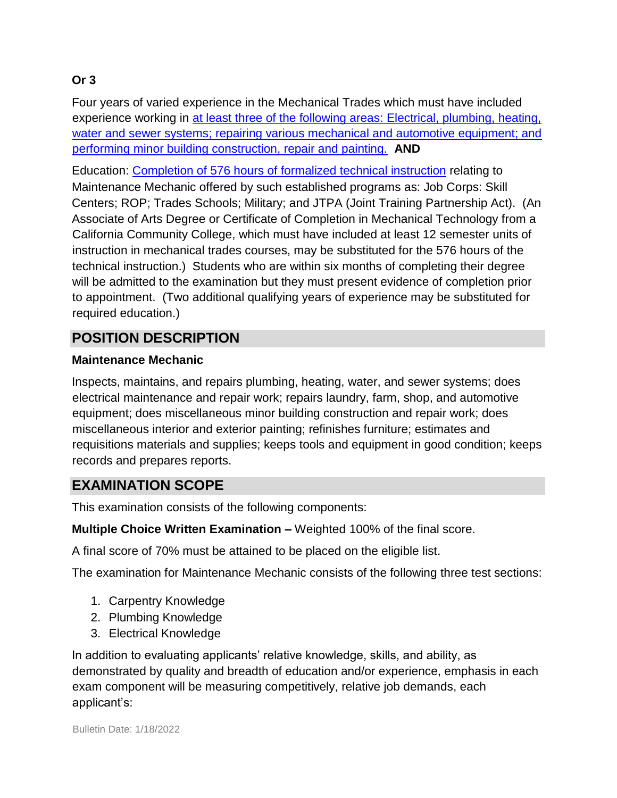### **Or 3**

Four years of varied experience in the Mechanical Trades which must have included experience working in [at least three of the following areas: Electrical, plumbing, heating,](https://www.jobs.ca.gov/jobsgen/4PB15B.pdf) [water and sewer systems; repairing various mechanical and automotive equipment; and](https://www.jobs.ca.gov/jobsgen/4PB15B.pdf) [performing minor building construction, repair and painting.](https://www.jobs.ca.gov/jobsgen/4PB15B.pdf) **AND**

Education: [Completion of 576 hours of formalized technical instruction](https://www.jobs.ca.gov/jobsgen/4PB15C.pdf) relating to Maintenance Mechanic offered by such established programs as: Job Corps: Skill Centers; ROP; Trades Schools; Military; and JTPA (Joint Training Partnership Act). (An Associate of Arts Degree or Certificate of Completion in Mechanical Technology from a California Community College, which must have included at least 12 semester units of instruction in mechanical trades courses, may be substituted for the 576 hours of the technical instruction.) Students who are within six months of completing their degree will be admitted to the examination but they must present evidence of completion prior to appointment. (Two additional qualifying years of experience may be substituted for required education.)

# **POSITION DESCRIPTION**

#### **Maintenance Mechanic**

Inspects, maintains, and repairs plumbing, heating, water, and sewer systems; does electrical maintenance and repair work; repairs laundry, farm, shop, and automotive equipment; does miscellaneous minor building construction and repair work; does miscellaneous interior and exterior painting; refinishes furniture; estimates and requisitions materials and supplies; keeps tools and equipment in good condition; keeps records and prepares reports.

# **EXAMINATION SCOPE**

This examination consists of the following components:

**Multiple Choice Written Examination –** Weighted 100% of the final score.

A final score of 70% must be attained to be placed on the eligible list.

The examination for Maintenance Mechanic consists of the following three test sections:

- 1. Carpentry Knowledge
- 2. Plumbing Knowledge
- 3. Electrical Knowledge

In addition to evaluating applicants' relative knowledge, skills, and ability, as demonstrated by quality and breadth of education and/or experience, emphasis in each exam component will be measuring competitively, relative job demands, each applicant's: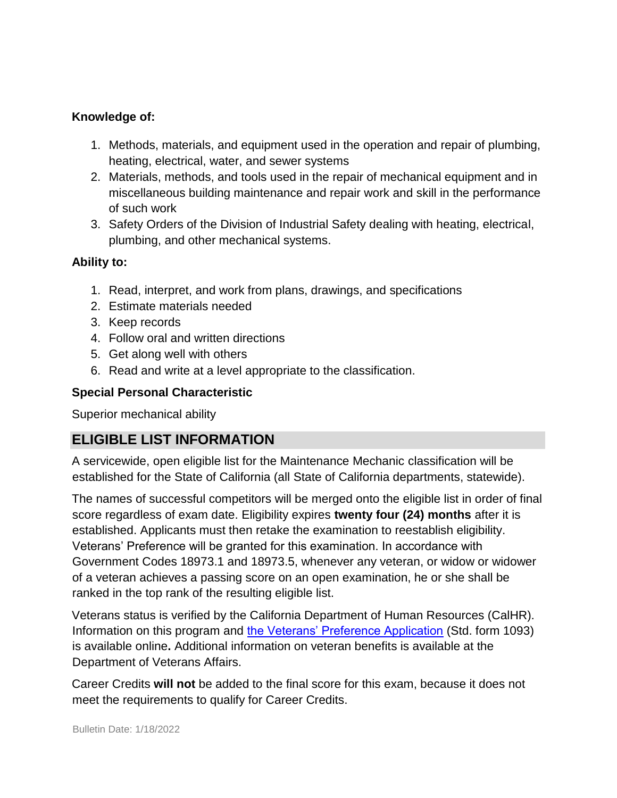#### **Knowledge of:**

- 1. Methods, materials, and equipment used in the operation and repair of plumbing, heating, electrical, water, and sewer systems
- 2. Materials, methods, and tools used in the repair of mechanical equipment and in miscellaneous building maintenance and repair work and skill in the performance of such work
- 3. Safety Orders of the Division of Industrial Safety dealing with heating, electrical, plumbing, and other mechanical systems.

#### **Ability to:**

- 1. Read, interpret, and work from plans, drawings, and specifications
- 2. Estimate materials needed
- 3. Keep records
- 4. Follow oral and written directions
- 5. Get along well with others
- 6. Read and write at a level appropriate to the classification.

#### **Special Personal Characteristic**

Superior mechanical ability

### **ELIGIBLE LIST INFORMATION**

A servicewide, open eligible list for the Maintenance Mechanic classification will be established for the State of California (all State of California departments, statewide).

The names of successful competitors will be merged onto the eligible list in order of final score regardless of exam date. Eligibility expires **twenty four (24) months** after it is established. Applicants must then retake the examination to reestablish eligibility. Veterans' Preference will be granted for this examination. In accordance with Government Codes 18973.1 and 18973.5, whenever any veteran, or widow or widower of a veteran achieves a passing score on an open examination, he or she shall be ranked in the top rank of the resulting eligible list.

Veterans status is verified by the California Department of Human Resources (CalHR). Information on this program and [the Veterans' Preference Application](https://www.jobs.ca.gov/CalHRPublic/Landing/Jobs/VeteransInformation.aspx) [\(](https://www.jobs.ca.gov/CalHRPublic/Landing/Jobs/VeteransInformation.aspx)Std. form 1093) is available online**.** Additional information on veteran benefits is available at the Department of Veterans Affairs.

Career Credits **will not** be added to the final score for this exam, because it does not meet the requirements to qualify for Career Credits.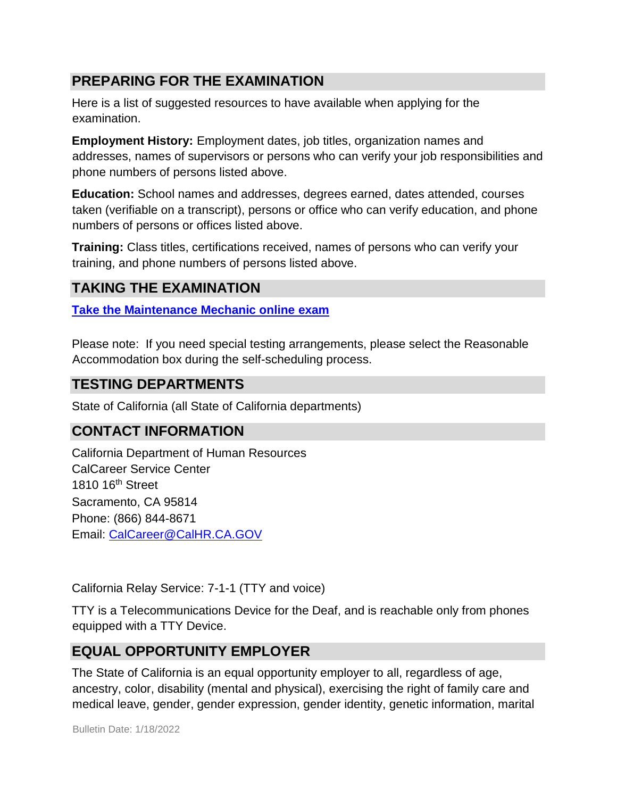## **PREPARING FOR THE EXAMINATION**

Here is a list of suggested resources to have available when applying for the examination.

**Employment History:** Employment dates, job titles, organization names and addresses, names of supervisors or persons who can verify your job responsibilities and phone numbers of persons listed above.

**Education:** School names and addresses, degrees earned, dates attended, courses taken (verifiable on a transcript), persons or office who can verify education, and phone numbers of persons or offices listed above.

**Training:** Class titles, certifications received, names of persons who can verify your training, and phone numbers of persons listed above.

### **TAKING THE EXAMINATION**

**[Take the Maintenance Mechanic online](https://www.jobs.ca.gov/CalHRPublic/Login.aspx?ExamId=0PBCT) [exam](https://www.jobs.ca.gov/CalHRPublic/Login.aspx?ExamId=0PBCT)**

Please note: If you need special testing arrangements, please select the Reasonable Accommodation box during the self-scheduling process.

### **TESTING DEPARTMENTS**

State of California (all State of California departments)

### **CONTACT INFORMATION**

California Department of Human Resources CalCareer Service Center 1810 16th Street Sacramento, CA 95814 Phone: (866) 844-8671 Email: CalCareer@CalHR.CA.GOV

California Relay Service: 7-1-1 (TTY and voice)

TTY is a Telecommunications Device for the Deaf, and is reachable only from phones equipped with a TTY Device.

### **EQUAL OPPORTUNITY EMPLOYER**

The State of California is an equal opportunity employer to all, regardless of age, ancestry, color, disability (mental and physical), exercising the right of family care and medical leave, gender, gender expression, gender identity, genetic information, marital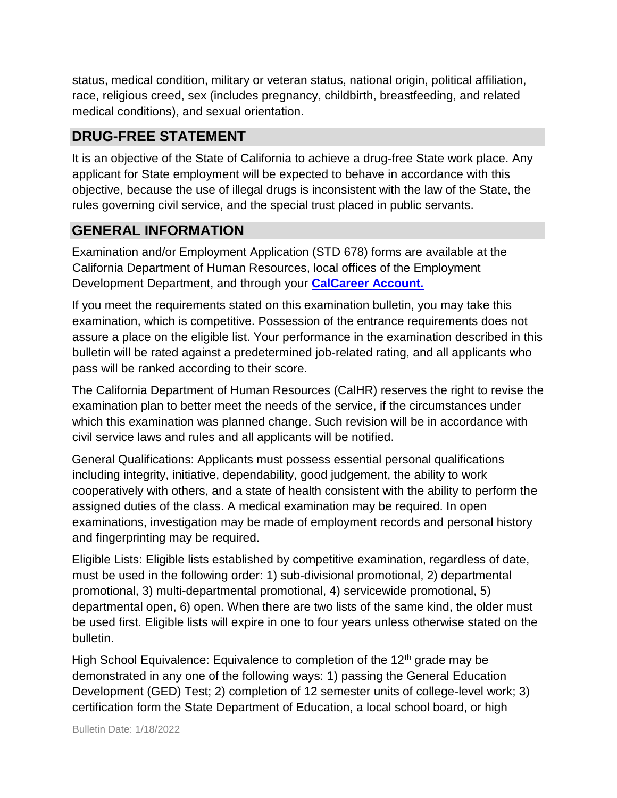status, medical condition, military or veteran status, national origin, political affiliation, race, religious creed, sex (includes pregnancy, childbirth, breastfeeding, and related medical conditions), and sexual orientation.

# **DRUG-FREE STATEMENT**

It is an objective of the State of California to achieve a drug-free State work place. Any applicant for State employment will be expected to behave in accordance with this objective, because the use of illegal drugs is inconsistent with the law of the State, the rules governing civil service, and the special trust placed in public servants.

## **GENERAL INFORMATION**

Examination and/or Employment Application (STD 678) forms are available at the California Department of Human Resources, local offices of the Employment Development Department, and through your **[CalCareer Account.](http://www.jobs.ca.gov/)**

If you meet the requirements stated on this examination bulletin, you may take this examination, which is competitive. Possession of the entrance requirements does not assure a place on the eligible list. Your performance in the examination described in this bulletin will be rated against a predetermined job-related rating, and all applicants who pass will be ranked according to their score.

The California Department of Human Resources (CalHR) reserves the right to revise the examination plan to better meet the needs of the service, if the circumstances under which this examination was planned change. Such revision will be in accordance with civil service laws and rules and all applicants will be notified.

General Qualifications: Applicants must possess essential personal qualifications including integrity, initiative, dependability, good judgement, the ability to work cooperatively with others, and a state of health consistent with the ability to perform the assigned duties of the class. A medical examination may be required. In open examinations, investigation may be made of employment records and personal history and fingerprinting may be required.

Eligible Lists: Eligible lists established by competitive examination, regardless of date, must be used in the following order: 1) sub-divisional promotional, 2) departmental promotional, 3) multi-departmental promotional, 4) servicewide promotional, 5) departmental open, 6) open. When there are two lists of the same kind, the older must be used first. Eligible lists will expire in one to four years unless otherwise stated on the bulletin.

High School Equivalence: Equivalence to completion of the  $12<sup>th</sup>$  grade may be demonstrated in any one of the following ways: 1) passing the General Education Development (GED) Test; 2) completion of 12 semester units of college-level work; 3) certification form the State Department of Education, a local school board, or high